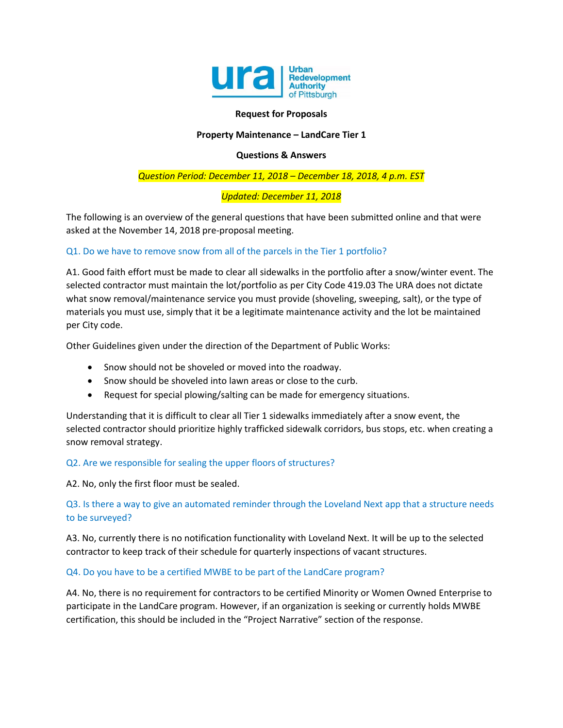

### **Request for Proposals**

### **Property Maintenance – LandCare Tier 1**

### **Questions & Answers**

## *Question Period: December 11, 2018 – December 18, 2018, 4 p.m. EST*

## *Updated: December 11, 2018*

The following is an overview of the general questions that have been submitted online and that were asked at the November 14, 2018 pre-proposal meeting.

## Q1. Do we have to remove snow from all of the parcels in the Tier 1 portfolio?

A1. Good faith effort must be made to clear all sidewalks in the portfolio after a snow/winter event. The selected contractor must maintain the lot/portfolio as per City Code 419.03 The URA does not dictate what snow removal/maintenance service you must provide (shoveling, sweeping, salt), or the type of materials you must use, simply that it be a legitimate maintenance activity and the lot be maintained per City code.

Other Guidelines given under the direction of the Department of Public Works:

- Snow should not be shoveled or moved into the roadway.
- Snow should be shoveled into lawn areas or close to the curb.
- Request for special plowing/salting can be made for emergency situations.

Understanding that it is difficult to clear all Tier 1 sidewalks immediately after a snow event, the selected contractor should prioritize highly trafficked sidewalk corridors, bus stops, etc. when creating a snow removal strategy.

### Q2. Are we responsible for sealing the upper floors of structures?

A2. No, only the first floor must be sealed.

# Q3. Is there a way to give an automated reminder through the Loveland Next app that a structure needs to be surveyed?

A3. No, currently there is no notification functionality with Loveland Next. It will be up to the selected contractor to keep track of their schedule for quarterly inspections of vacant structures.

### Q4. Do you have to be a certified MWBE to be part of the LandCare program?

A4. No, there is no requirement for contractors to be certified Minority or Women Owned Enterprise to participate in the LandCare program. However, if an organization is seeking or currently holds MWBE certification, this should be included in the "Project Narrative" section of the response.